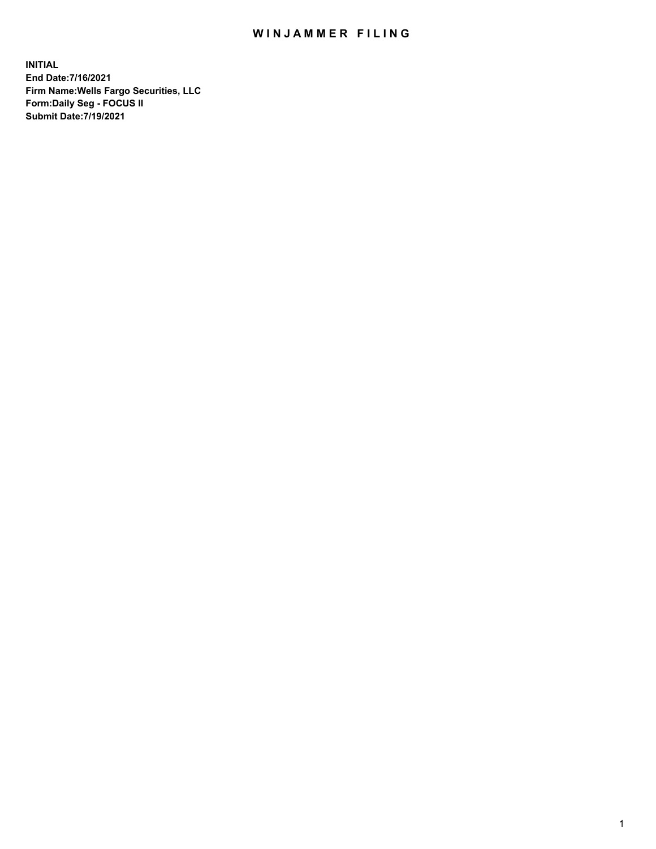## WIN JAMMER FILING

**INITIAL End Date:7/16/2021 Firm Name:Wells Fargo Securities, LLC Form:Daily Seg - FOCUS II Submit Date:7/19/2021**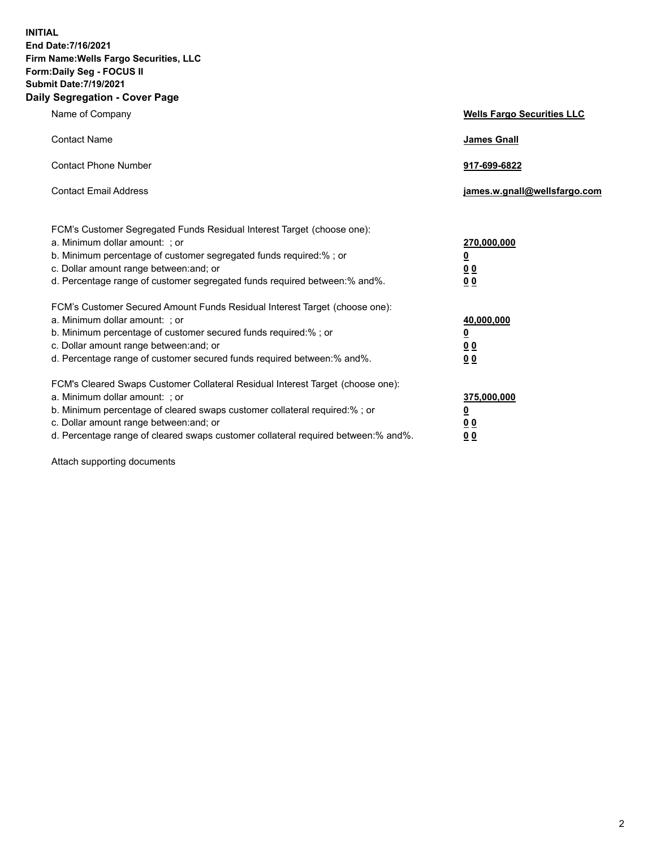**INITIAL End Date:7/16/2021 Firm Name:Wells Fargo Securities, LLC Form:Daily Seg - FOCUS II Submit Date:7/19/2021 Daily Segregation - Cover Page**

| Name of Company                                                                                                                                                                                                                                                                                                                | <b>Wells Fargo Securities LLC</b>                           |
|--------------------------------------------------------------------------------------------------------------------------------------------------------------------------------------------------------------------------------------------------------------------------------------------------------------------------------|-------------------------------------------------------------|
| <b>Contact Name</b>                                                                                                                                                                                                                                                                                                            | <b>James Gnall</b>                                          |
| <b>Contact Phone Number</b>                                                                                                                                                                                                                                                                                                    | 917-699-6822                                                |
| <b>Contact Email Address</b>                                                                                                                                                                                                                                                                                                   | james.w.gnall@wellsfargo.com                                |
| FCM's Customer Segregated Funds Residual Interest Target (choose one):<br>a. Minimum dollar amount: ; or<br>b. Minimum percentage of customer segregated funds required:% ; or<br>c. Dollar amount range between: and; or<br>d. Percentage range of customer segregated funds required between:% and%.                         | 270,000,000<br><u>0</u><br>0 <sub>0</sub><br>0 <sub>0</sub> |
| FCM's Customer Secured Amount Funds Residual Interest Target (choose one):<br>a. Minimum dollar amount: ; or<br>b. Minimum percentage of customer secured funds required:%; or<br>c. Dollar amount range between: and; or<br>d. Percentage range of customer secured funds required between:% and%.                            | 40,000,000<br><u>0</u><br>00<br>0 <sub>0</sub>              |
| FCM's Cleared Swaps Customer Collateral Residual Interest Target (choose one):<br>a. Minimum dollar amount: ; or<br>b. Minimum percentage of cleared swaps customer collateral required:% ; or<br>c. Dollar amount range between: and; or<br>d. Percentage range of cleared swaps customer collateral required between:% and%. | 375,000,000<br><u>0</u><br>0 <sub>0</sub><br>00             |

Attach supporting documents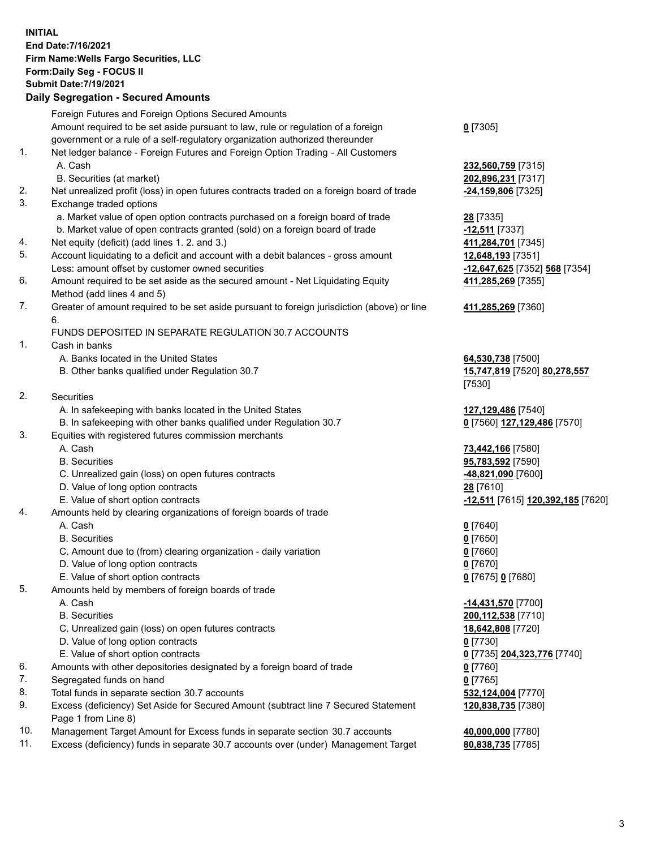**INITIAL End Date:7/16/2021 Firm Name:Wells Fargo Securities, LLC Form:Daily Seg - FOCUS II Submit Date:7/19/2021**

## **Daily Segregation - Secured Amounts**

|                 | Foreign Futures and Foreign Options Secured Amounts                                         |                                                                |
|-----------------|---------------------------------------------------------------------------------------------|----------------------------------------------------------------|
|                 | Amount required to be set aside pursuant to law, rule or regulation of a foreign            | $0$ [7305]                                                     |
|                 | government or a rule of a self-regulatory organization authorized thereunder                |                                                                |
| 1.              | Net ledger balance - Foreign Futures and Foreign Option Trading - All Customers             |                                                                |
|                 | A. Cash                                                                                     | 232,560,759 [7315]                                             |
|                 | B. Securities (at market)                                                                   | 202,896,231 [7317]                                             |
| 2.              | Net unrealized profit (loss) in open futures contracts traded on a foreign board of trade   | -24,159,806 [7325]                                             |
| 3.              | Exchange traded options                                                                     |                                                                |
|                 | a. Market value of open option contracts purchased on a foreign board of trade              | 28 [7335]                                                      |
|                 | b. Market value of open contracts granted (sold) on a foreign board of trade                | -12,511 [7337]                                                 |
| 4.              | Net equity (deficit) (add lines 1. 2. and 3.)                                               | 411,284,701 [7345]                                             |
| 5.              | Account liquidating to a deficit and account with a debit balances - gross amount           | 12,648,193 [7351]                                              |
|                 | Less: amount offset by customer owned securities                                            | -12,647,625 [7352] 568 [7354]                                  |
| 6.              | Amount required to be set aside as the secured amount - Net Liquidating Equity              | 411,285,269 [7355]                                             |
|                 | Method (add lines 4 and 5)                                                                  |                                                                |
| 7.              | Greater of amount required to be set aside pursuant to foreign jurisdiction (above) or line | 411,285,269 [7360]                                             |
|                 | 6.                                                                                          |                                                                |
|                 | FUNDS DEPOSITED IN SEPARATE REGULATION 30.7 ACCOUNTS                                        |                                                                |
| 1.              | Cash in banks                                                                               |                                                                |
|                 | A. Banks located in the United States                                                       | 64,530,738 [7500]                                              |
|                 | B. Other banks qualified under Regulation 30.7                                              | 15,747,819 [7520] 80,278,557                                   |
|                 |                                                                                             | [7530]                                                         |
| 2.              | Securities                                                                                  |                                                                |
|                 | A. In safekeeping with banks located in the United States                                   | 127,129,486 [7540]                                             |
|                 | B. In safekeeping with other banks qualified under Regulation 30.7                          | 0 [7560] 127,129,486 [7570]                                    |
| 3.              | Equities with registered futures commission merchants                                       |                                                                |
|                 | A. Cash                                                                                     | 73,442,166 [7580]                                              |
|                 | <b>B.</b> Securities                                                                        | 95,783,592 [7590]                                              |
|                 | C. Unrealized gain (loss) on open futures contracts                                         | <u>-48,821,090</u> [7600]                                      |
|                 | D. Value of long option contracts                                                           | 28 [7610]                                                      |
|                 | E. Value of short option contracts                                                          | <u>-<b>12,511</b></u> [7615] <u><b>120,392,185</b> [</u> 7620] |
| 4.              | Amounts held by clearing organizations of foreign boards of trade                           |                                                                |
|                 | A. Cash                                                                                     | $0$ [7640]                                                     |
|                 | <b>B.</b> Securities                                                                        | $0$ [7650]                                                     |
|                 | C. Amount due to (from) clearing organization - daily variation                             | $0$ [7660]                                                     |
|                 | D. Value of long option contracts                                                           | $0$ [7670]                                                     |
|                 | E. Value of short option contracts                                                          | 0 [7675] 0 [7680]                                              |
| 5.              | Amounts held by members of foreign boards of trade                                          |                                                                |
|                 | A. Cash                                                                                     | $-14,431,570$ [7700]                                           |
|                 | <b>B.</b> Securities                                                                        | 200,112,538 [7710]                                             |
|                 | C. Unrealized gain (loss) on open futures contracts                                         | 18,642,808 [7720]                                              |
|                 | D. Value of long option contracts                                                           | $0$ [7730]                                                     |
|                 | E. Value of short option contracts                                                          | 0 <sup>[7735]</sup> 204,323,776 <sup>[7740]</sup>              |
| 6.              | Amounts with other depositories designated by a foreign board of trade                      | 0 [7760]                                                       |
| 7.              | Segregated funds on hand                                                                    | $0$ [7765]                                                     |
| 8.              | Total funds in separate section 30.7 accounts                                               | 532,124,004 [7770]                                             |
| 9.              | Excess (deficiency) Set Aside for Secured Amount (subtract line 7 Secured Statement         | 120,838,735 [7380]                                             |
|                 | Page 1 from Line 8)                                                                         |                                                                |
| 10 <sub>1</sub> | exempt Texast Americat for Excess funds in concrete cention 20.7 executo                    | 10.000000077001                                                |

- 10. Management Target Amount for Excess funds in separate section 30.7 accounts **40,000,000** [7780]
- 11. Excess (deficiency) funds in separate 30.7 accounts over (under) Management Target **80,838,735** [7785]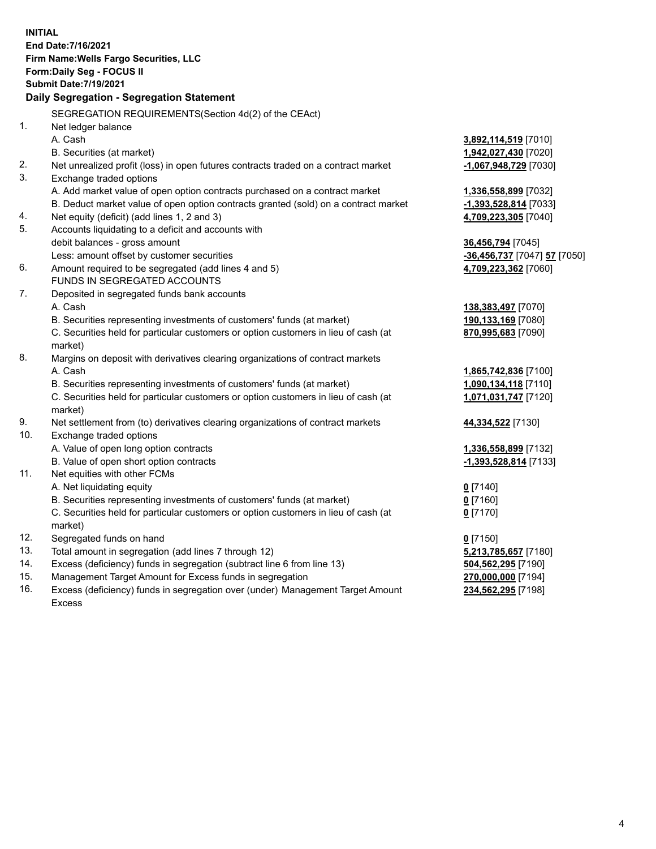**INITIAL End Date:7/16/2021 Firm Name:Wells Fargo Securities, LLC Form:Daily Seg - FOCUS II Submit Date:7/19/2021 Daily Segregation - Segregation Statement** SEGREGATION REQUIREMENTS(Section 4d(2) of the CEAct) 1. Net ledger balance A. Cash **3,892,114,519** [7010] B. Securities (at market) **1,942,027,430** [7020] 2. Net unrealized profit (loss) in open futures contracts traded on a contract market **-1,067,948,729** [7030] 3. Exchange traded options A. Add market value of open option contracts purchased on a contract market **1,336,558,899** [7032] B. Deduct market value of open option contracts granted (sold) on a contract market **-1,393,528,814** [7033] 4. Net equity (deficit) (add lines 1, 2 and 3) **4,709,223,305** [7040]

- 5. Accounts liquidating to a deficit and accounts with debit balances - gross amount **36,456,794** [7045]
	- Less: amount offset by customer securities **-36,456,737** [7047] **57** [7050]
- 6. Amount required to be segregated (add lines 4 and 5) **4,709,223,362** [7060] FUNDS IN SEGREGATED ACCOUNTS
- 7. Deposited in segregated funds bank accounts A. Cash **138,383,497** [7070]
	- B. Securities representing investments of customers' funds (at market) **190,133,169** [7080]

C. Securities held for particular customers or option customers in lieu of cash (at market)

- 8. Margins on deposit with derivatives clearing organizations of contract markets A. Cash **1,865,742,836** [7100]
	- B. Securities representing investments of customers' funds (at market) **1,090,134,118** [7110]

C. Securities held for particular customers or option customers in lieu of cash (at market)

- 9. Net settlement from (to) derivatives clearing organizations of contract markets **44,334,522** [7130]
- 10. Exchange traded options
	- A. Value of open long option contracts **1,336,558,899** [7132]
	- B. Value of open short option contracts **-1,393,528,814** [7133]
- 11. Net equities with other FCMs
	- A. Net liquidating equity **0** [7140]
	- B. Securities representing investments of customers' funds (at market) **0** [7160]

C. Securities held for particular customers or option customers in lieu of cash (at market)

- 12. Segregated funds on hand **0** [7150]
- 13. Total amount in segregation (add lines 7 through 12) **5,213,785,657** [7180]
- 14. Excess (deficiency) funds in segregation (subtract line 6 from line 13) **504,562,295** [7190]
- 15. Management Target Amount for Excess funds in segregation **270,000,000** [7194]
- 16. Excess (deficiency) funds in segregation over (under) Management Target Amount Excess

**870,995,683** [7090]

**1,071,031,747** [7120]

**0** [7170]

**234,562,295** [7198]